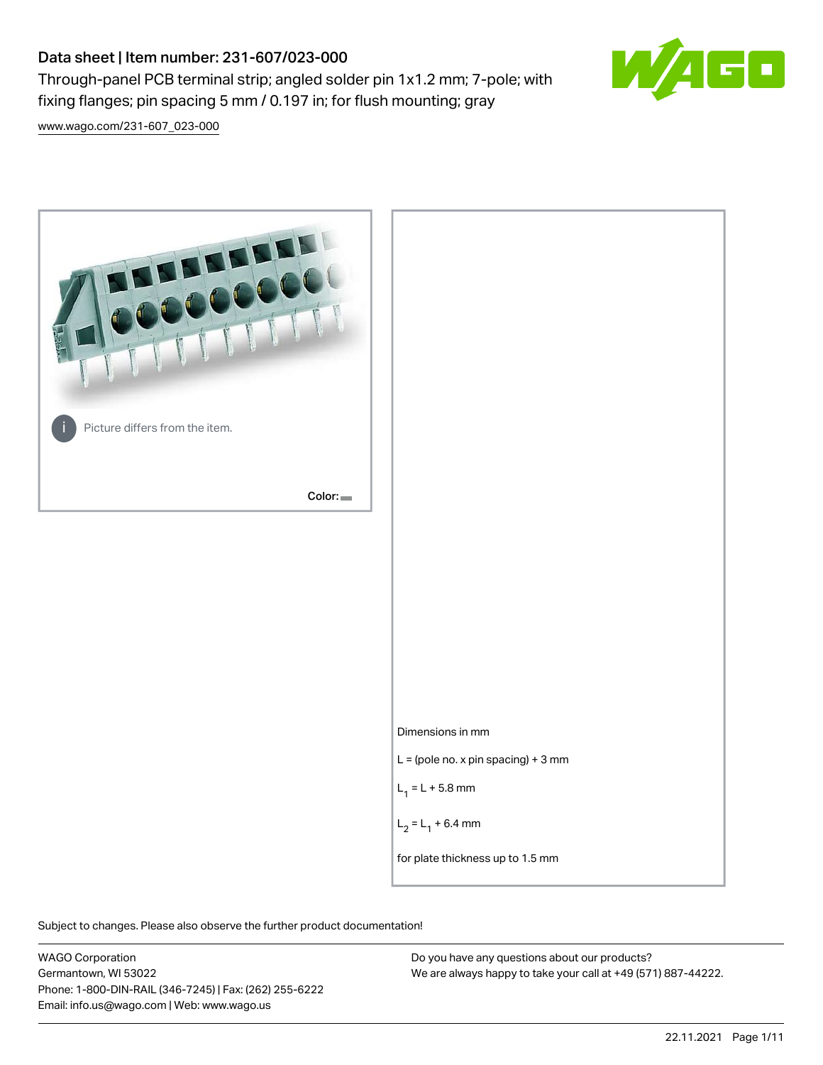# Data sheet | Item number: 231-607/023-000

Through-panel PCB terminal strip; angled solder pin 1x1.2 mm; 7-pole; with fixing flanges; pin spacing 5 mm / 0.197 in; for flush mounting; gray



[www.wago.com/231-607\\_023-000](http://www.wago.com/231-607_023-000)



Subject to changes. Please also observe the further product documentation!

WAGO Corporation Germantown, WI 53022 Phone: 1-800-DIN-RAIL (346-7245) | Fax: (262) 255-6222 Email: info.us@wago.com | Web: www.wago.us

Do you have any questions about our products? We are always happy to take your call at +49 (571) 887-44222.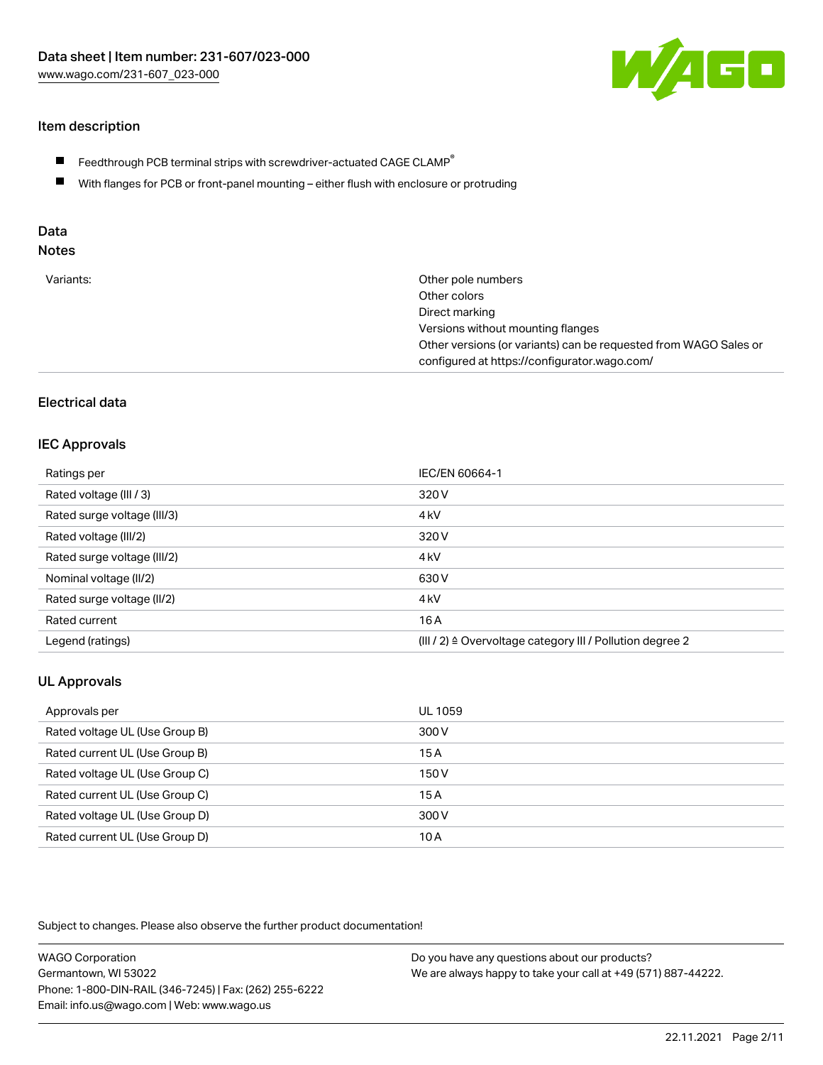

# Item description

- $\blacksquare$  Feedthrough PCB terminal strips with screwdriver-actuated CAGE CLAMP<sup>®</sup>
- With flanges for PCB or front-panel mounting either flush with enclosure or protruding

# Data

# Notes

| Variants: | Other pole numbers                                               |
|-----------|------------------------------------------------------------------|
|           | Other colors                                                     |
|           | Direct marking                                                   |
|           | Versions without mounting flanges                                |
|           | Other versions (or variants) can be requested from WAGO Sales or |
|           | configured at https://configurator.wago.com/                     |

## Electrical data

#### IEC Approvals

| Ratings per                 | IEC/EN 60664-1                                                       |
|-----------------------------|----------------------------------------------------------------------|
| Rated voltage (III / 3)     | 320 V                                                                |
| Rated surge voltage (III/3) | 4 <sub>k</sub> V                                                     |
| Rated voltage (III/2)       | 320 V                                                                |
| Rated surge voltage (III/2) | 4 <sub>k</sub> V                                                     |
| Nominal voltage (II/2)      | 630 V                                                                |
| Rated surge voltage (II/2)  | 4 <sub>kV</sub>                                                      |
| Rated current               | 16 A                                                                 |
| Legend (ratings)            | (III / 2) $\triangleq$ Overvoltage category III / Pollution degree 2 |

# UL Approvals

| Approvals per                  | UL 1059 |
|--------------------------------|---------|
| Rated voltage UL (Use Group B) | 300 V   |
| Rated current UL (Use Group B) | 15 A    |
| Rated voltage UL (Use Group C) | 150 V   |
| Rated current UL (Use Group C) | 15A     |
| Rated voltage UL (Use Group D) | 300 V   |
| Rated current UL (Use Group D) | 10 A    |

Subject to changes. Please also observe the further product documentation!

| <b>WAGO Corporation</b>                                | Do you have any questions about our products?                 |
|--------------------------------------------------------|---------------------------------------------------------------|
| Germantown, WI 53022                                   | We are always happy to take your call at +49 (571) 887-44222. |
| Phone: 1-800-DIN-RAIL (346-7245)   Fax: (262) 255-6222 |                                                               |
| Email: info.us@wago.com   Web: www.wago.us             |                                                               |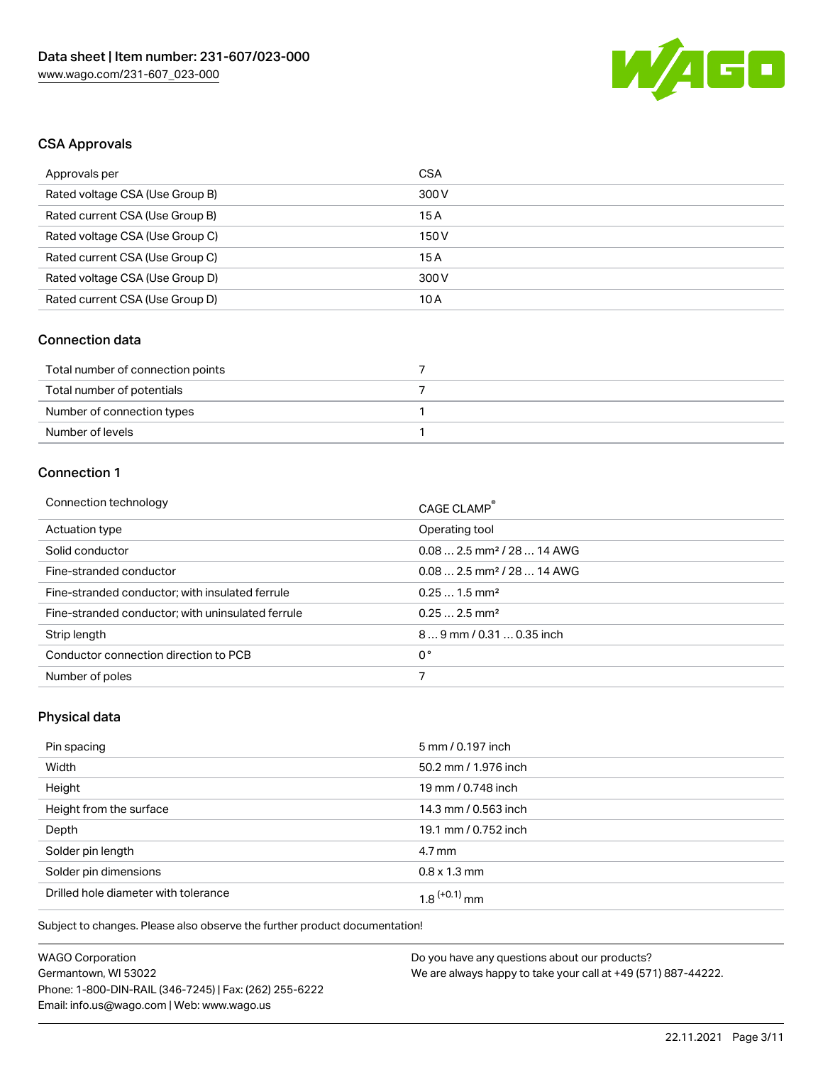

# CSA Approvals

| Approvals per                   | CSA   |
|---------------------------------|-------|
| Rated voltage CSA (Use Group B) | 300 V |
| Rated current CSA (Use Group B) | 15 A  |
| Rated voltage CSA (Use Group C) | 150 V |
| Rated current CSA (Use Group C) | 15A   |
| Rated voltage CSA (Use Group D) | 300 V |
| Rated current CSA (Use Group D) | 10 A  |

# Connection data

| Total number of connection points |  |
|-----------------------------------|--|
| Total number of potentials        |  |
| Number of connection types        |  |
| Number of levels                  |  |

# Connection 1

| Connection technology                             | CAGE CLAMP®                             |
|---------------------------------------------------|-----------------------------------------|
| Actuation type                                    | Operating tool                          |
| Solid conductor                                   | $0.082.5$ mm <sup>2</sup> / 28  14 AWG  |
| Fine-stranded conductor                           | $0.08$ 2.5 mm <sup>2</sup> / 28  14 AWG |
| Fine-stranded conductor; with insulated ferrule   | $0.251.5$ mm <sup>2</sup>               |
| Fine-stranded conductor; with uninsulated ferrule | $0.252.5$ mm <sup>2</sup>               |
| Strip length                                      | 89 mm / 0.31  0.35 inch                 |
| Conductor connection direction to PCB             | 0°                                      |
| Number of poles                                   |                                         |

# Physical data

| Pin spacing                          | 5 mm / 0.197 inch    |
|--------------------------------------|----------------------|
| Width                                | 50.2 mm / 1.976 inch |
| Height                               | 19 mm / 0.748 inch   |
| Height from the surface              | 14.3 mm / 0.563 inch |
| Depth                                | 19.1 mm / 0.752 inch |
| Solder pin length                    | $4.7 \,\mathrm{mm}$  |
| Solder pin dimensions                | $0.8 \times 1.3$ mm  |
| Drilled hole diameter with tolerance | $1.8$ $(+0.1)$ mm    |

Subject to changes. Please also observe the further product documentation!

| <b>WAGO Corporation</b>                                | Do vo |
|--------------------------------------------------------|-------|
| Germantown, WI 53022                                   | We ar |
| Phone: 1-800-DIN-RAIL (346-7245)   Fax: (262) 255-6222 |       |
| Email: info.us@wago.com   Web: www.wago.us             |       |

ou have any questions about our products? e always happy to take your call at +49 (571) 887-44222.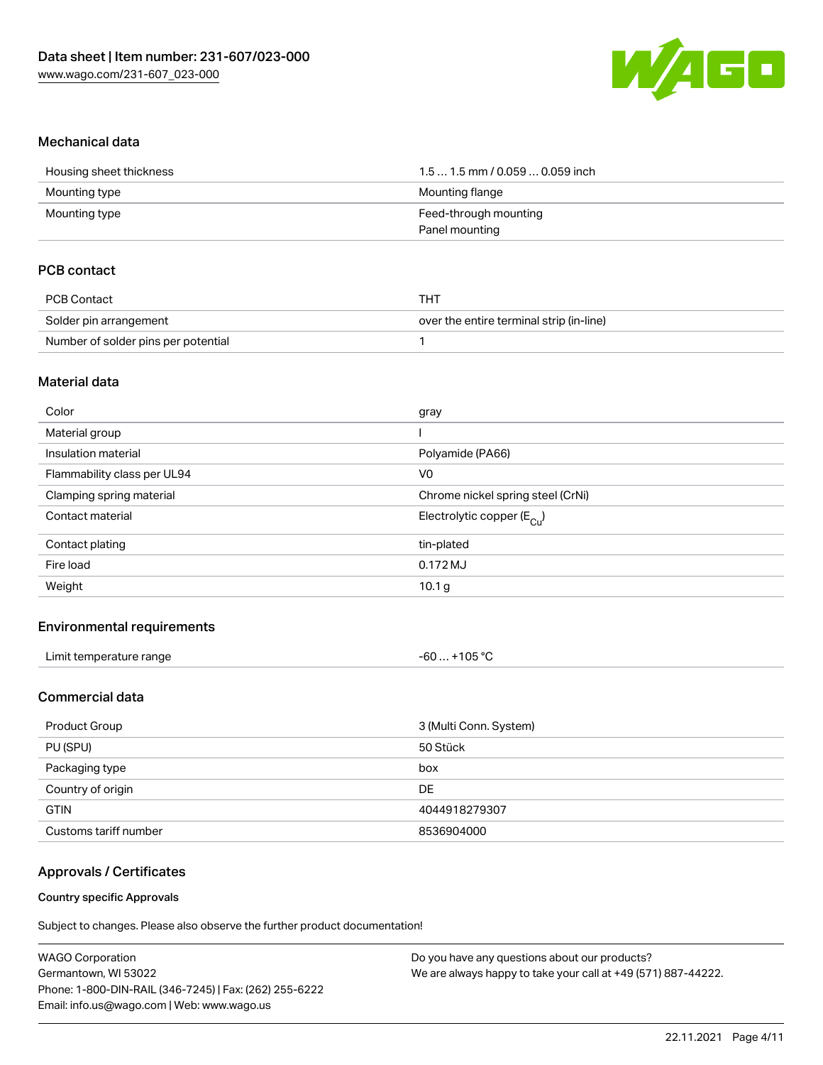

#### Mechanical data

| Housing sheet thickness | $1.51.5$ mm / 0.059  0.059 inch |
|-------------------------|---------------------------------|
| Mounting type           | Mounting flange                 |
| Mounting type           | Feed-through mounting           |
|                         | Panel mounting                  |

## PCB contact

| PCB Contact                         | тнт                                      |
|-------------------------------------|------------------------------------------|
| Solder pin arrangement              | over the entire terminal strip (in-line) |
| Number of solder pins per potential |                                          |

#### Material data

| Color                       | gray                                  |
|-----------------------------|---------------------------------------|
| Material group              |                                       |
| Insulation material         | Polyamide (PA66)                      |
| Flammability class per UL94 | V <sub>0</sub>                        |
| Clamping spring material    | Chrome nickel spring steel (CrNi)     |
| Contact material            | Electrolytic copper $(E_{\text{Cu}})$ |
| Contact plating             | tin-plated                            |
| Fire load                   | 0.172 MJ                              |
| Weight                      | 10.1 <sub>g</sub>                     |
|                             |                                       |

#### Environmental requirements

| Limit temperature range | $-60+105 °C$ |
|-------------------------|--------------|
|-------------------------|--------------|

# Commercial data

| <b>Product Group</b>  | 3 (Multi Conn. System) |
|-----------------------|------------------------|
| PU (SPU)              | 50 Stück               |
| Packaging type        | box                    |
| Country of origin     | DE                     |
| <b>GTIN</b>           | 4044918279307          |
| Customs tariff number | 8536904000             |

#### Approvals / Certificates

#### Country specific Approvals

Subject to changes. Please also observe the further product documentation!

| <b>WAGO Corporation</b>                                | Do you have any questions about our products?                 |
|--------------------------------------------------------|---------------------------------------------------------------|
| Germantown, WI 53022                                   | We are always happy to take your call at +49 (571) 887-44222. |
| Phone: 1-800-DIN-RAIL (346-7245)   Fax: (262) 255-6222 |                                                               |
| Email: info.us@wago.com   Web: www.wago.us             |                                                               |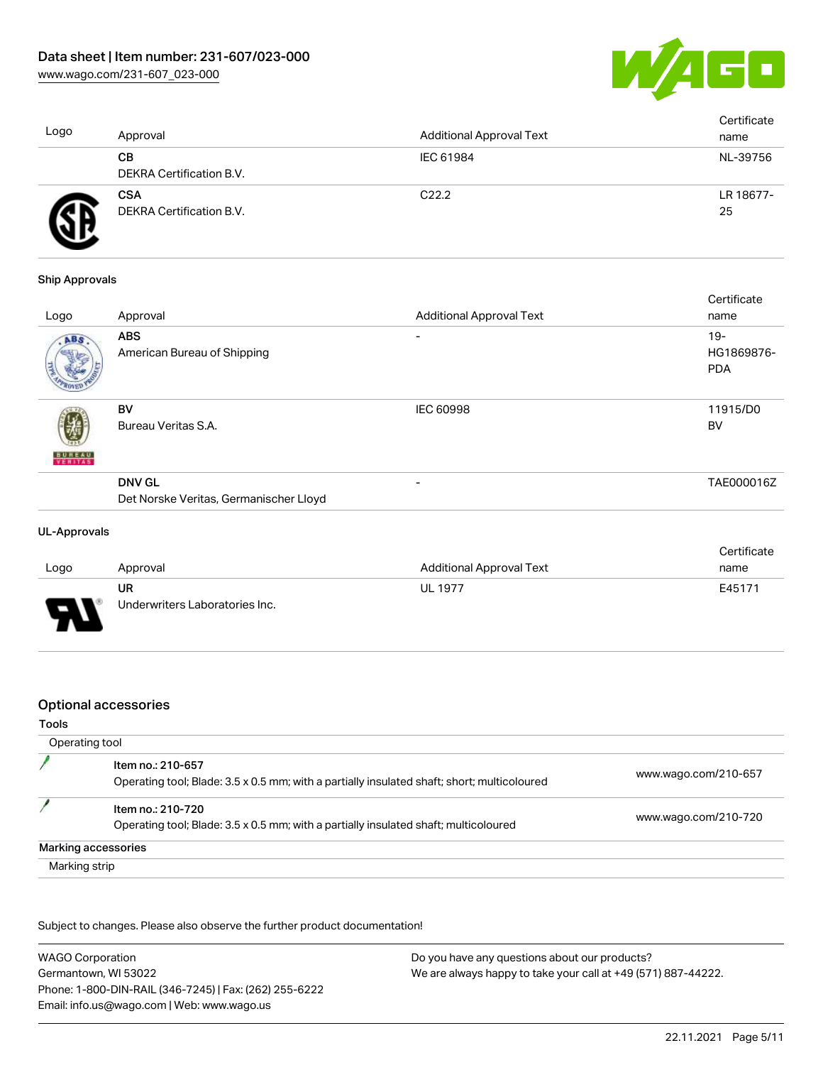

| Logo | Approval                               | <b>Additional Approval Text</b> | Certificate<br>name |
|------|----------------------------------------|---------------------------------|---------------------|
|      | CВ<br>DEKRA Certification B.V.         | IEC 61984                       | NL-39756            |
|      | <b>CSA</b><br>DEKRA Certification B.V. | C <sub>22.2</sub>               | LR 18677-<br>25     |

#### Ship Approvals

|               |                                                         |                                 | Certificate                        |
|---------------|---------------------------------------------------------|---------------------------------|------------------------------------|
| Logo          | Approval                                                | <b>Additional Approval Text</b> | name                               |
| ABS           | <b>ABS</b><br>American Bureau of Shipping               | ۰                               | $19 -$<br>HG1869876-<br><b>PDA</b> |
| <b>BUREAU</b> | BV<br>Bureau Veritas S.A.                               | <b>IEC 60998</b>                | 11915/D0<br><b>BV</b>              |
|               | <b>DNV GL</b><br>Det Norske Veritas, Germanischer Lloyd | $\overline{\phantom{0}}$        | TAE000016Z                         |
|               |                                                         |                                 |                                    |

#### UL-Approvals

|                          |                                |                                 | Certificate |
|--------------------------|--------------------------------|---------------------------------|-------------|
| Logo                     | Approval                       | <b>Additional Approval Text</b> | name        |
|                          | UR                             | UL 1977                         | E45171      |
| $\overline{\phantom{0}}$ | Underwriters Laboratories Inc. |                                 |             |

#### Optional accessories

#### Tools

| Operating tool                                                                                                   |                      |
|------------------------------------------------------------------------------------------------------------------|----------------------|
| Item no.: 210-657<br>Operating tool; Blade: 3.5 x 0.5 mm; with a partially insulated shaft; short; multicoloured | www.wago.com/210-657 |
| Item no.: 210-720<br>Operating tool; Blade: 3.5 x 0.5 mm; with a partially insulated shaft; multicoloured        | www.wago.com/210-720 |
| Marking accessories                                                                                              |                      |
| Marking strip                                                                                                    |                      |

Subject to changes. Please also observe the further product documentation!

| <b>WAGO Corporation</b>                                | Do you have any questions about our products?                 |
|--------------------------------------------------------|---------------------------------------------------------------|
| Germantown, WI 53022                                   | We are always happy to take your call at +49 (571) 887-44222. |
| Phone: 1-800-DIN-RAIL (346-7245)   Fax: (262) 255-6222 |                                                               |
| Email: info.us@wago.com   Web: www.wago.us             |                                                               |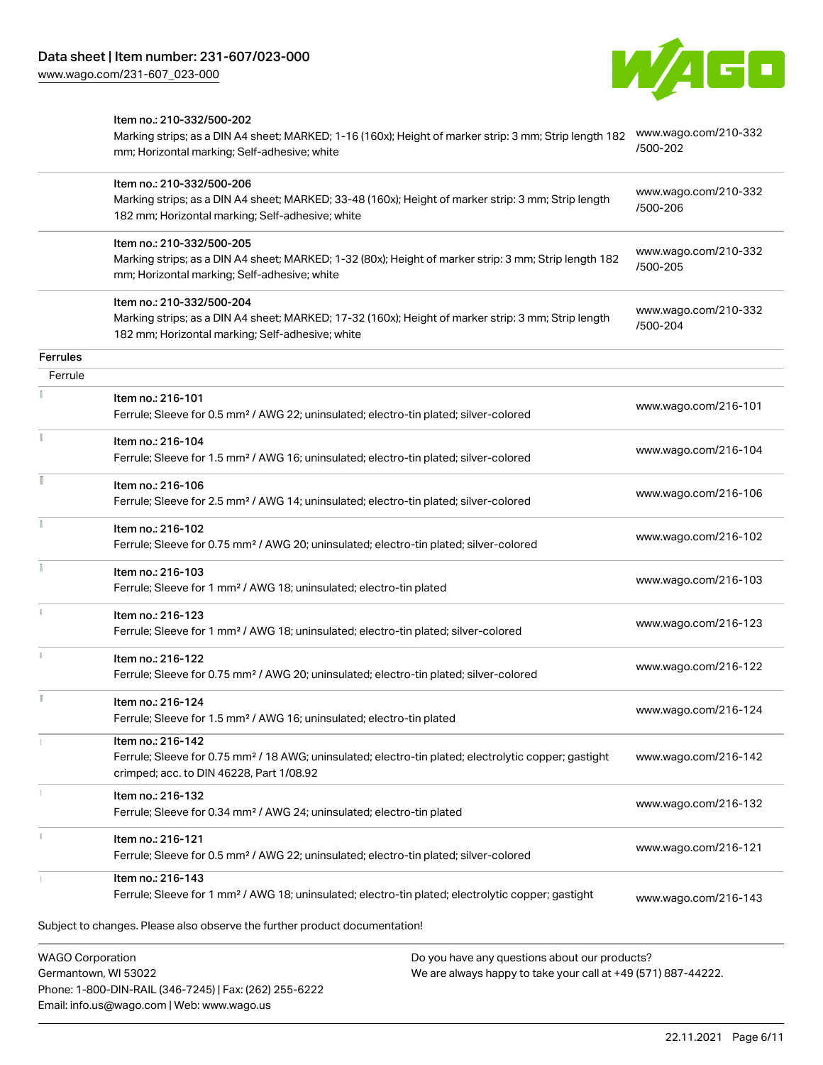Phone: 1-800-DIN-RAIL (346-7245) | Fax: (262) 255-6222

Email: info.us@wago.com | Web: www.wago.us



|                                                 | Item no.: 210-332/500-202<br>Marking strips; as a DIN A4 sheet; MARKED; 1-16 (160x); Height of marker strip: 3 mm; Strip length 182<br>mm; Horizontal marking; Self-adhesive; white  |                                                                                                                | www.wago.com/210-332<br>/500-202 |
|-------------------------------------------------|--------------------------------------------------------------------------------------------------------------------------------------------------------------------------------------|----------------------------------------------------------------------------------------------------------------|----------------------------------|
|                                                 | Item no.: 210-332/500-206<br>Marking strips; as a DIN A4 sheet; MARKED; 33-48 (160x); Height of marker strip: 3 mm; Strip length<br>182 mm; Horizontal marking; Self-adhesive; white |                                                                                                                | www.wago.com/210-332<br>/500-206 |
|                                                 | Item no.: 210-332/500-205<br>Marking strips; as a DIN A4 sheet; MARKED; 1-32 (80x); Height of marker strip: 3 mm; Strip length 182<br>mm; Horizontal marking; Self-adhesive; white   |                                                                                                                | www.wago.com/210-332<br>/500-205 |
|                                                 | Item no.: 210-332/500-204<br>Marking strips; as a DIN A4 sheet; MARKED; 17-32 (160x); Height of marker strip: 3 mm; Strip length<br>182 mm; Horizontal marking; Self-adhesive; white |                                                                                                                | www.wago.com/210-332<br>/500-204 |
| <b>Ferrules</b>                                 |                                                                                                                                                                                      |                                                                                                                |                                  |
| Ferrule                                         |                                                                                                                                                                                      |                                                                                                                |                                  |
|                                                 | Item no.: 216-101<br>Ferrule; Sleeve for 0.5 mm <sup>2</sup> / AWG 22; uninsulated; electro-tin plated; silver-colored                                                               |                                                                                                                | www.wago.com/216-101             |
|                                                 | Item no.: 216-104<br>Ferrule; Sleeve for 1.5 mm <sup>2</sup> / AWG 16; uninsulated; electro-tin plated; silver-colored                                                               |                                                                                                                | www.wago.com/216-104             |
|                                                 | Item no.: 216-106<br>Ferrule; Sleeve for 2.5 mm <sup>2</sup> / AWG 14; uninsulated; electro-tin plated; silver-colored                                                               |                                                                                                                | www.wago.com/216-106             |
|                                                 | Item no.: 216-102<br>Ferrule; Sleeve for 0.75 mm <sup>2</sup> / AWG 20; uninsulated; electro-tin plated; silver-colored                                                              |                                                                                                                | www.wago.com/216-102             |
|                                                 | Item no.: 216-103<br>Ferrule; Sleeve for 1 mm <sup>2</sup> / AWG 18; uninsulated; electro-tin plated                                                                                 |                                                                                                                | www.wago.com/216-103             |
|                                                 | Item no.: 216-123<br>Ferrule; Sleeve for 1 mm <sup>2</sup> / AWG 18; uninsulated; electro-tin plated; silver-colored                                                                 |                                                                                                                | www.wago.com/216-123             |
|                                                 | Item no.: 216-122<br>Ferrule; Sleeve for 0.75 mm <sup>2</sup> / AWG 20; uninsulated; electro-tin plated; silver-colored                                                              |                                                                                                                | www.wago.com/216-122             |
|                                                 | Item no.: 216-124<br>Ferrule; Sleeve for 1.5 mm <sup>2</sup> / AWG 16; uninsulated; electro-tin plated                                                                               |                                                                                                                | www.wago.com/216-124             |
|                                                 | Item no.: 216-142<br>Ferrule; Sleeve for 0.75 mm <sup>2</sup> / 18 AWG; uninsulated; electro-tin plated; electrolytic copper; gastight<br>crimped; acc. to DIN 46228, Part 1/08.92   |                                                                                                                | www.wago.com/216-142             |
|                                                 | Item no.: 216-132<br>Ferrule; Sleeve for 0.34 mm <sup>2</sup> / AWG 24; uninsulated; electro-tin plated                                                                              |                                                                                                                | www.wago.com/216-132             |
|                                                 | Item no.: 216-121<br>Ferrule; Sleeve for 0.5 mm <sup>2</sup> / AWG 22; uninsulated; electro-tin plated; silver-colored                                                               |                                                                                                                | www.wago.com/216-121             |
|                                                 | Item no.: 216-143<br>Ferrule; Sleeve for 1 mm <sup>2</sup> / AWG 18; uninsulated; electro-tin plated; electrolytic copper; gastight                                                  |                                                                                                                | www.wago.com/216-143             |
|                                                 | Subject to changes. Please also observe the further product documentation!                                                                                                           |                                                                                                                |                                  |
| <b>WAGO Corporation</b><br>Germantown, WI 53022 |                                                                                                                                                                                      | Do you have any questions about our products?<br>We are always happy to take your call at +49 (571) 887-44222. |                                  |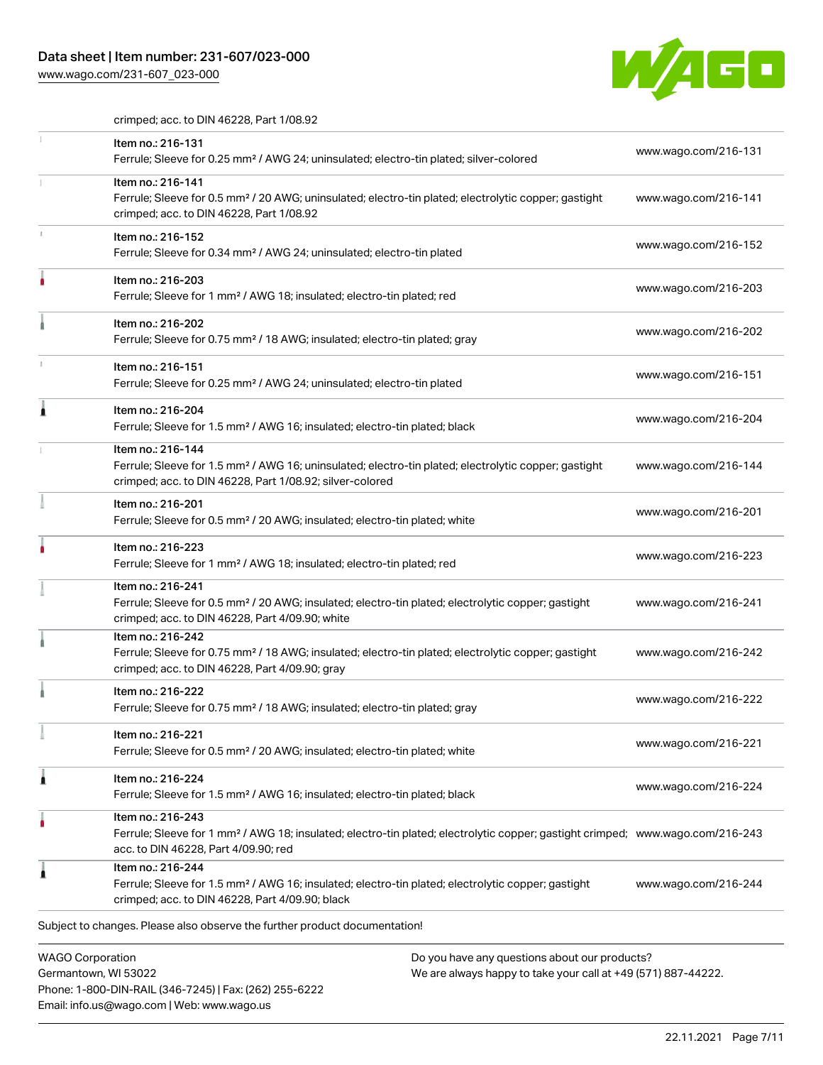# Data sheet | Item number: 231-607/023-000

Email: info.us@wago.com | Web: www.wago.us

[www.wago.com/231-607\\_023-000](http://www.wago.com/231-607_023-000)



crimped; acc. to DIN 46228, Part 1/08.92

|   | Item no.: 216-131<br>Ferrule; Sleeve for 0.25 mm <sup>2</sup> / AWG 24; uninsulated; electro-tin plated; silver-colored                                                                                 |                                                                                                                | www.wago.com/216-131 |
|---|---------------------------------------------------------------------------------------------------------------------------------------------------------------------------------------------------------|----------------------------------------------------------------------------------------------------------------|----------------------|
|   | Item no.: 216-141<br>Ferrule; Sleeve for 0.5 mm <sup>2</sup> / 20 AWG; uninsulated; electro-tin plated; electrolytic copper; gastight<br>crimped; acc. to DIN 46228, Part 1/08.92                       |                                                                                                                | www.wago.com/216-141 |
|   | Item no.: 216-152<br>Ferrule; Sleeve for 0.34 mm <sup>2</sup> / AWG 24; uninsulated; electro-tin plated                                                                                                 |                                                                                                                | www.wago.com/216-152 |
|   | Item no.: 216-203<br>Ferrule; Sleeve for 1 mm <sup>2</sup> / AWG 18; insulated; electro-tin plated; red                                                                                                 |                                                                                                                | www.wago.com/216-203 |
|   | Item no.: 216-202<br>Ferrule; Sleeve for 0.75 mm <sup>2</sup> / 18 AWG; insulated; electro-tin plated; gray                                                                                             |                                                                                                                | www.wago.com/216-202 |
|   | Item no.: 216-151<br>Ferrule; Sleeve for 0.25 mm <sup>2</sup> / AWG 24; uninsulated; electro-tin plated                                                                                                 |                                                                                                                | www.wago.com/216-151 |
|   | Item no.: 216-204<br>Ferrule; Sleeve for 1.5 mm <sup>2</sup> / AWG 16; insulated; electro-tin plated; black                                                                                             |                                                                                                                | www.wago.com/216-204 |
|   | Item no.: 216-144<br>Ferrule; Sleeve for 1.5 mm <sup>2</sup> / AWG 16; uninsulated; electro-tin plated; electrolytic copper; gastight<br>crimped; acc. to DIN 46228, Part 1/08.92; silver-colored       |                                                                                                                | www.wago.com/216-144 |
|   | Item no.: 216-201<br>Ferrule; Sleeve for 0.5 mm <sup>2</sup> / 20 AWG; insulated; electro-tin plated; white                                                                                             |                                                                                                                | www.wago.com/216-201 |
|   | Item no.: 216-223<br>Ferrule; Sleeve for 1 mm <sup>2</sup> / AWG 18; insulated; electro-tin plated; red                                                                                                 |                                                                                                                | www.wago.com/216-223 |
|   | Item no.: 216-241<br>Ferrule; Sleeve for 0.5 mm <sup>2</sup> / 20 AWG; insulated; electro-tin plated; electrolytic copper; gastight<br>crimped; acc. to DIN 46228, Part 4/09.90; white                  |                                                                                                                | www.wago.com/216-241 |
|   | Item no.: 216-242<br>Ferrule; Sleeve for 0.75 mm <sup>2</sup> / 18 AWG; insulated; electro-tin plated; electrolytic copper; gastight<br>crimped; acc. to DIN 46228, Part 4/09.90; gray                  |                                                                                                                | www.wago.com/216-242 |
|   | Item no.: 216-222<br>Ferrule; Sleeve for 0.75 mm <sup>2</sup> / 18 AWG; insulated; electro-tin plated; gray                                                                                             |                                                                                                                | www.wago.com/216-222 |
| ÷ | Item no.: 216-221<br>Ferrule; Sleeve for 0.5 mm <sup>2</sup> / 20 AWG; insulated; electro-tin plated; white                                                                                             |                                                                                                                | www.wago.com/216-221 |
| ٨ | Item no.: 216-224<br>Ferrule; Sleeve for 1.5 mm <sup>2</sup> / AWG 16; insulated; electro-tin plated; black                                                                                             |                                                                                                                | www.wago.com/216-224 |
|   | Item no.: 216-243<br>Ferrule; Sleeve for 1 mm <sup>2</sup> / AWG 18; insulated; electro-tin plated; electrolytic copper; gastight crimped; www.wago.com/216-243<br>acc. to DIN 46228, Part 4/09.90; red |                                                                                                                |                      |
|   | Item no.: 216-244<br>Ferrule; Sleeve for 1.5 mm <sup>2</sup> / AWG 16; insulated; electro-tin plated; electrolytic copper; gastight<br>crimped; acc. to DIN 46228, Part 4/09.90; black                  |                                                                                                                | www.wago.com/216-244 |
|   | Subject to changes. Please also observe the further product documentation!                                                                                                                              |                                                                                                                |                      |
|   | <b>WAGO Corporation</b><br>Germantown, WI 53022<br>Phone: 1-800-DIN-RAIL (346-7245)   Fax: (262) 255-6222                                                                                               | Do you have any questions about our products?<br>We are always happy to take your call at +49 (571) 887-44222. |                      |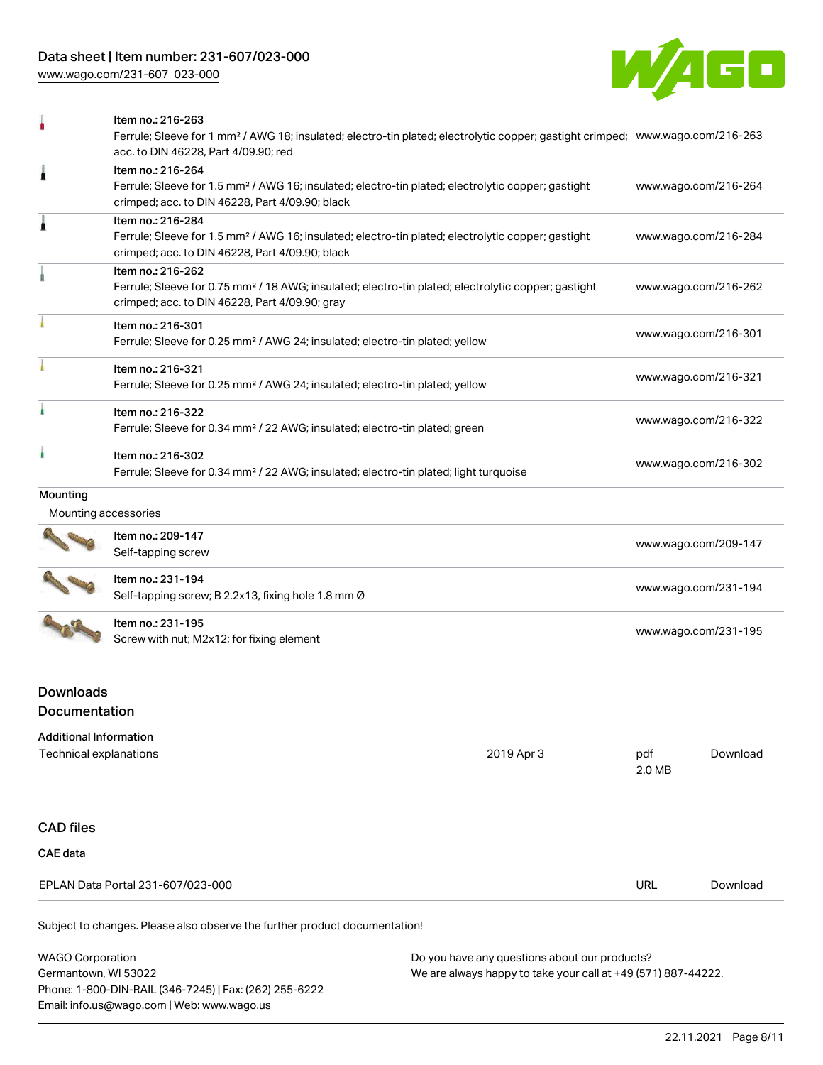[www.wago.com/231-607\\_023-000](http://www.wago.com/231-607_023-000)



|                      | Item no.: 216-263                                                                                                                                                                  |                      |
|----------------------|------------------------------------------------------------------------------------------------------------------------------------------------------------------------------------|----------------------|
|                      | Ferrule; Sleeve for 1 mm <sup>2</sup> / AWG 18; insulated; electro-tin plated; electrolytic copper; gastight crimped; www.wago.com/216-263<br>acc. to DIN 46228, Part 4/09.90; red |                      |
| 1                    | Item no.: 216-264                                                                                                                                                                  |                      |
|                      | Ferrule; Sleeve for 1.5 mm <sup>2</sup> / AWG 16; insulated; electro-tin plated; electrolytic copper; gastight<br>crimped; acc. to DIN 46228, Part 4/09.90; black                  | www.wago.com/216-264 |
| Â                    | Item no.: 216-284                                                                                                                                                                  |                      |
|                      | Ferrule; Sleeve for 1.5 mm <sup>2</sup> / AWG 16; insulated; electro-tin plated; electrolytic copper; gastight<br>crimped; acc. to DIN 46228, Part 4/09.90; black                  | www.wago.com/216-284 |
|                      | Item no.: 216-262                                                                                                                                                                  |                      |
|                      | Ferrule; Sleeve for 0.75 mm <sup>2</sup> / 18 AWG; insulated; electro-tin plated; electrolytic copper; gastight<br>crimped; acc. to DIN 46228, Part 4/09.90; gray                  | www.wago.com/216-262 |
|                      | Item no.: 216-301                                                                                                                                                                  |                      |
|                      | Ferrule; Sleeve for 0.25 mm <sup>2</sup> / AWG 24; insulated; electro-tin plated; yellow                                                                                           | www.wago.com/216-301 |
|                      | Item no.: 216-321                                                                                                                                                                  |                      |
|                      | Ferrule; Sleeve for 0.25 mm <sup>2</sup> / AWG 24; insulated; electro-tin plated; yellow                                                                                           | www.wago.com/216-321 |
|                      | Item no.: 216-322                                                                                                                                                                  |                      |
|                      | Ferrule; Sleeve for 0.34 mm <sup>2</sup> / 22 AWG; insulated; electro-tin plated; green                                                                                            | www.wago.com/216-322 |
|                      | Item no.: 216-302                                                                                                                                                                  |                      |
|                      | Ferrule; Sleeve for 0.34 mm <sup>2</sup> / 22 AWG; insulated; electro-tin plated; light turquoise                                                                                  | www.wago.com/216-302 |
| Mounting             |                                                                                                                                                                                    |                      |
| Mounting accessories |                                                                                                                                                                                    |                      |
|                      | Item no.: 209-147                                                                                                                                                                  |                      |
|                      | Self-tapping screw                                                                                                                                                                 | www.wago.com/209-147 |
|                      | Item no.: 231-194                                                                                                                                                                  |                      |
|                      | Self-tapping screw; B 2.2x13, fixing hole 1.8 mm Ø                                                                                                                                 | www.wago.com/231-194 |
|                      | Item no.: 231-195                                                                                                                                                                  |                      |
|                      | Screw with nut; M2x12; for fixing element                                                                                                                                          | www.wago.com/231-195 |

# Downloads Documentation

Phone: 1-800-DIN-RAIL (346-7245) | Fax: (262) 255-6222

Email: info.us@wago.com | Web: www.wago.us

| <b>Additional Information</b>                                              |                                                               |               |          |
|----------------------------------------------------------------------------|---------------------------------------------------------------|---------------|----------|
| Technical explanations                                                     | 2019 Apr 3                                                    | pdf<br>2.0 MB | Download |
|                                                                            |                                                               |               |          |
| <b>CAD files</b>                                                           |                                                               |               |          |
| <b>CAE data</b>                                                            |                                                               |               |          |
| EPLAN Data Portal 231-607/023-000                                          |                                                               | URL           | Download |
| Subject to changes. Please also observe the further product documentation! |                                                               |               |          |
| <b>WAGO Corporation</b>                                                    | Do you have any questions about our products?                 |               |          |
| Germantown, WI 53022                                                       | We are always happy to take your call at +49 (571) 887-44222. |               |          |

22.11.2021 Page 8/11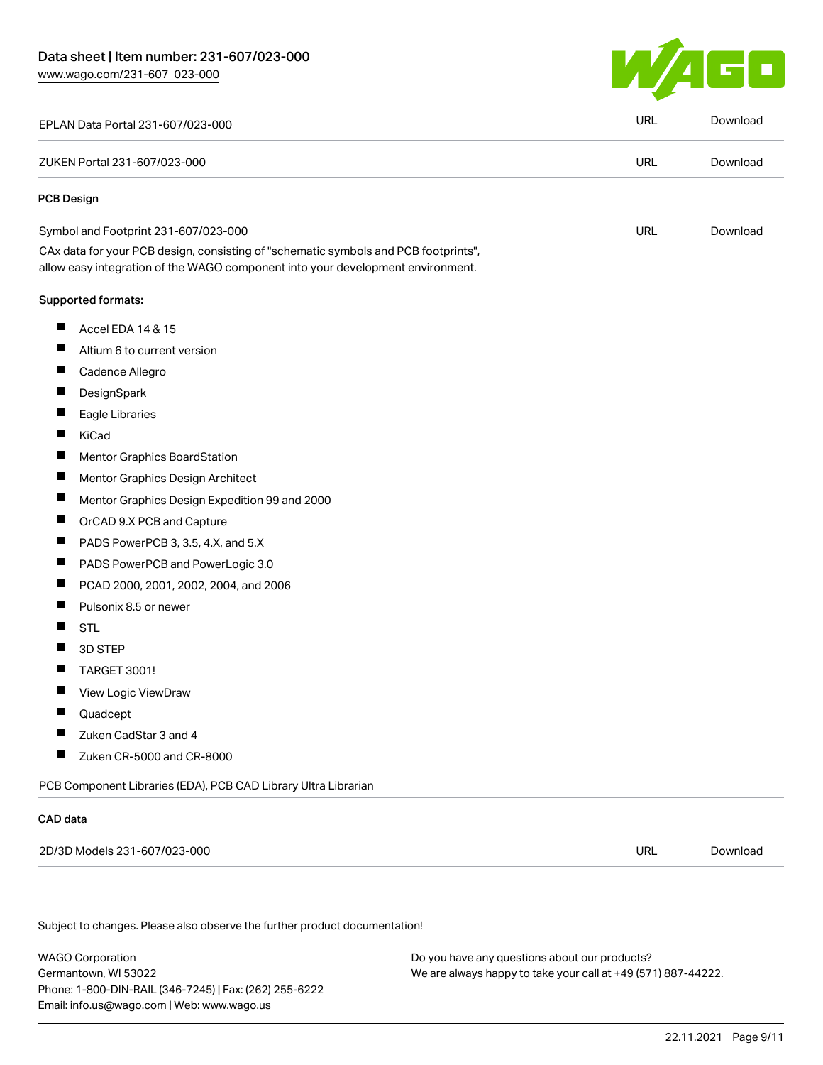

| EPLAN Data Portal 231-607/023-000                                                                                                                                      | <b>URL</b> | Download |
|------------------------------------------------------------------------------------------------------------------------------------------------------------------------|------------|----------|
| ZUKEN Portal 231-607/023-000                                                                                                                                           | <b>URL</b> | Download |
| <b>PCB Design</b>                                                                                                                                                      |            |          |
| Symbol and Footprint 231-607/023-000                                                                                                                                   | <b>URL</b> | Download |
| CAx data for your PCB design, consisting of "schematic symbols and PCB footprints",<br>allow easy integration of the WAGO component into your development environment. |            |          |
| <b>Supported formats:</b>                                                                                                                                              |            |          |
| ш<br>Accel EDA 14 & 15                                                                                                                                                 |            |          |
| п<br>Altium 6 to current version                                                                                                                                       |            |          |
| Ш<br>Cadence Allegro                                                                                                                                                   |            |          |
| ш<br>DesignSpark                                                                                                                                                       |            |          |
| Eagle Libraries                                                                                                                                                        |            |          |
| Ш<br>KiCad                                                                                                                                                             |            |          |
| ш<br><b>Mentor Graphics BoardStation</b>                                                                                                                               |            |          |
| П<br>Mentor Graphics Design Architect                                                                                                                                  |            |          |
| ш<br>Mentor Graphics Design Expedition 99 and 2000                                                                                                                     |            |          |
| ш<br>OrCAD 9.X PCB and Capture                                                                                                                                         |            |          |
| PADS PowerPCB 3, 3.5, 4.X, and 5.X                                                                                                                                     |            |          |
| ш<br>PADS PowerPCB and PowerLogic 3.0                                                                                                                                  |            |          |
| ш<br>PCAD 2000, 2001, 2002, 2004, and 2006                                                                                                                             |            |          |
| Pulsonix 8.5 or newer                                                                                                                                                  |            |          |
| <b>STL</b>                                                                                                                                                             |            |          |
| 3D STEP<br>ш                                                                                                                                                           |            |          |
| <b>TARGET 3001!</b>                                                                                                                                                    |            |          |
| ш<br>View Logic ViewDraw                                                                                                                                               |            |          |
| Quadcept                                                                                                                                                               |            |          |
| Zuken CadStar 3 and 4                                                                                                                                                  |            |          |
| Zuken CR-5000 and CR-8000                                                                                                                                              |            |          |
| PCB Component Libraries (EDA), PCB CAD Library Ultra Librarian                                                                                                         |            |          |
| CAD data                                                                                                                                                               |            |          |
| 2D/3D Models 231-607/023-000                                                                                                                                           | <b>URL</b> | Download |
|                                                                                                                                                                        |            |          |
| Subject to changes. Please also observe the further product documentation!                                                                                             |            |          |
|                                                                                                                                                                        |            |          |

WAGO Corporation Germantown, WI 53022 Phone: 1-800-DIN-RAIL (346-7245) | Fax: (262) 255-6222 Email: info.us@wago.com | Web: www.wago.us

Do you have any questions about our products? We are always happy to take your call at +49 (571) 887-44222.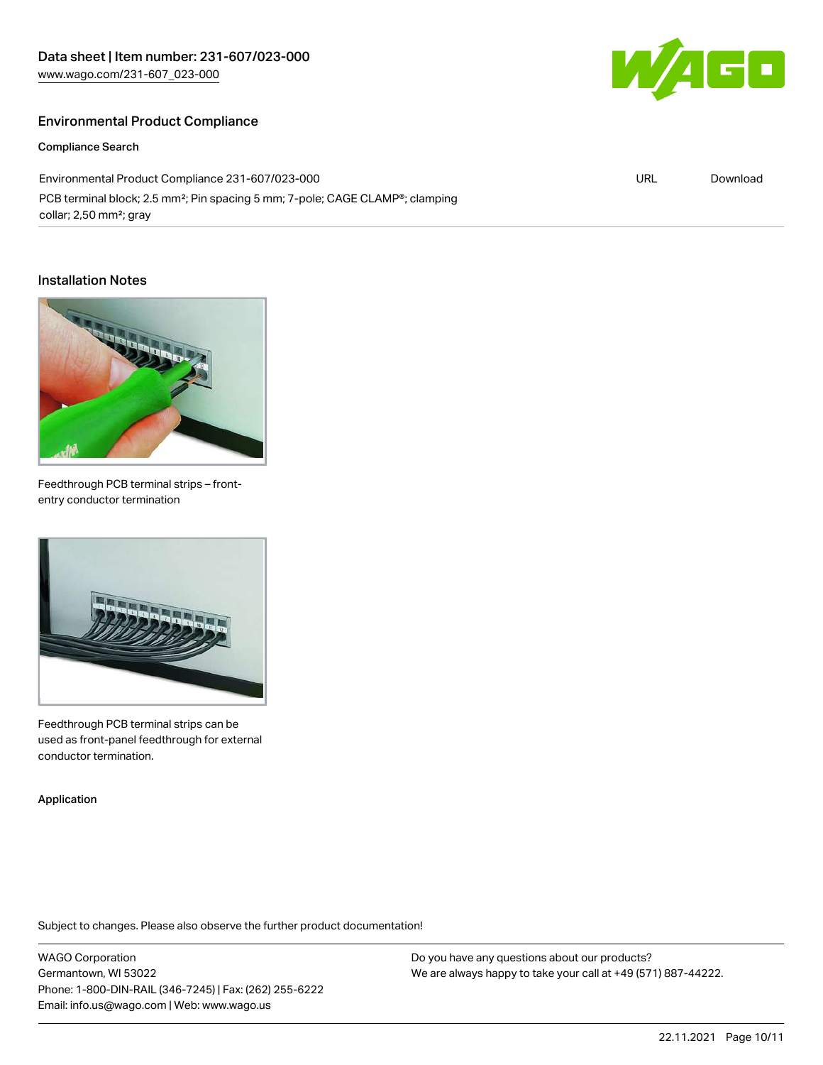# Environmental Product Compliance

Compliance Search

Environmental Product Compliance 231-607/023-000 PCB terminal block; 2.5 mm<sup>2</sup>; Pin spacing 5 mm; 7-pole; CAGE CLAMP®; clamping collar; 2,50 mm²; gray

#### Installation Notes



Feedthrough PCB terminal strips – frontentry conductor termination



Feedthrough PCB terminal strips can be used as front-panel feedthrough for external conductor termination.

Application

Subject to changes. Please also observe the further product documentation!

WAGO Corporation Germantown, WI 53022 Phone: 1-800-DIN-RAIL (346-7245) | Fax: (262) 255-6222 Email: info.us@wago.com | Web: www.wago.us

Do you have any questions about our products? We are always happy to take your call at +49 (571) 887-44222.



URL [Download](https://www.wago.com/global/d/ComplianceLinkMediaContainer_231-607_023-000)